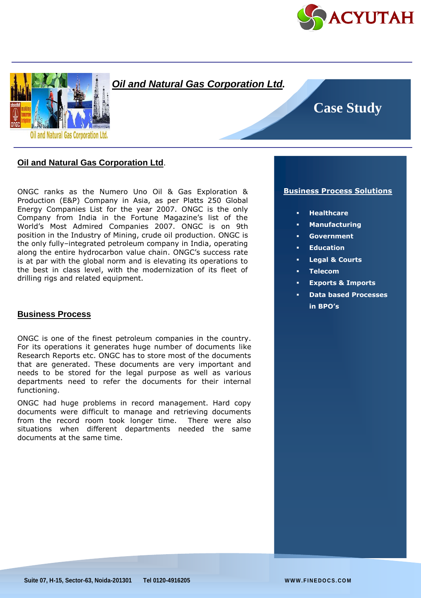



## *Oil and Natural Gas Corporation Ltd.*

# **Case Study**

## **Oil and Natural Gas Corporation Ltd**.

ONGC ranks as the Numero Uno Oil & Gas Exploration & Production (E&P) Company in Asia, as per Platts 250 Global Energy Companies List for the year 2007. ONGC is the only Company from India in the Fortune Magazine's list of the World's Most Admired Companies 2007. ONGC is on 9th position in the Industry of Mining, crude oil production. ONGC is the only fully–integrated petroleum company in India, operating along the entire hydrocarbon value chain. ONGC's success rate is at par with the global norm and is elevating its operations to the best in class level, with the modernization of its fleet of drilling rigs and related equipment.

#### **Business Process**

ONGC is one of the finest petroleum companies in the country. For its operations it generates huge number of documents like Research Reports etc. ONGC has to store most of the documents that are generated. These documents are very important and needs to be stored for the legal purpose as well as various departments need to refer the documents for their internal functioning.

ONGC had huge problems in record management. Hard copy documents were difficult to manage and retrieving documents from the record room took longer time. There were also situations when different departments needed the same documents at the same time.

#### **Business Process Solutions**

- **Healthcare**
- **Manufacturing**
- **Government**
- **Education**
- **Legal & Courts**
- **Telecom**
- **Exports & Imports**
- **Data based Processes in BPO's**